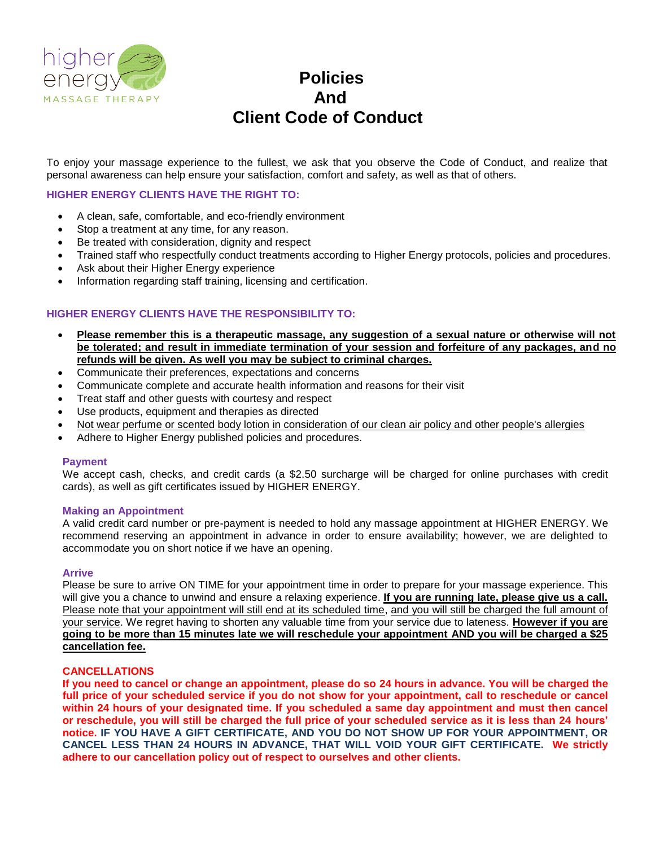

# **Policies And Client Code of Conduct**

To enjoy your massage experience to the fullest, we ask that you observe the Code of Conduct, and realize that personal awareness can help ensure your satisfaction, comfort and safety, as well as that of others.

## **HIGHER ENERGY CLIENTS HAVE THE RIGHT TO:**

- A clean, safe, comfortable, and eco-friendly environment
- Stop a treatment at any time, for any reason.
- Be treated with consideration, dignity and respect
- Trained staff who respectfully conduct treatments according to Higher Energy protocols, policies and procedures.
- Ask about their Higher Energy experience
- Information regarding staff training, licensing and certification.

## **HIGHER ENERGY CLIENTS HAVE THE RESPONSIBILITY TO:**

- **Please remember this is a therapeutic massage, any suggestion of a sexual nature or otherwise will not be tolerated; and result in immediate termination of your session and forfeiture of any packages, and no refunds will be given. As well you may be subject to criminal charges.**
- Communicate their preferences, expectations and concerns
- Communicate complete and accurate health information and reasons for their visit
- Treat staff and other guests with courtesy and respect
- Use products, equipment and therapies as directed
- Not wear perfume or scented body lotion in consideration of our clean air policy and other people's allergies
- Adhere to Higher Energy published policies and procedures.

#### **Payment**

We accept cash, checks, and credit cards (a \$2.50 surcharge will be charged for online purchases with credit cards), as well as gift certificates issued by HIGHER ENERGY.

## **Making an Appointment**

A valid credit card number or pre-payment is needed to hold any massage appointment at HIGHER ENERGY. We recommend reserving an appointment in advance in order to ensure availability; however, we are delighted to accommodate you on short notice if we have an opening.

#### **Arrive**

Please be sure to arrive ON TIME for your appointment time in order to prepare for your massage experience. This will give you a chance to unwind and ensure a relaxing experience. **If you are running late, please give us a call.** Please note that your appointment will still end at its scheduled time, and you will still be charged the full amount of your service. We regret having to shorten any valuable time from your service due to lateness. **However if you are going to be more than 15 minutes late we will reschedule your appointment AND you will be charged a \$25 cancellation fee.** 

## **CANCELLATIONS**

**If you need to cancel or change an appointment, please do so 24 hours in advance. You will be charged the full price of your scheduled service if you do not show for your appointment, call to reschedule or cancel within 24 hours of your designated time. If you scheduled a same day appointment and must then cancel or reschedule, you will still be charged the full price of your scheduled service as it is less than 24 hours' notice. IF YOU HAVE A GIFT CERTIFICATE, AND YOU DO NOT SHOW UP FOR YOUR APPOINTMENT, OR CANCEL LESS THAN 24 HOURS IN ADVANCE, THAT WILL VOID YOUR GIFT CERTIFICATE. We strictly adhere to our cancellation policy out of respect to ourselves and other clients.**